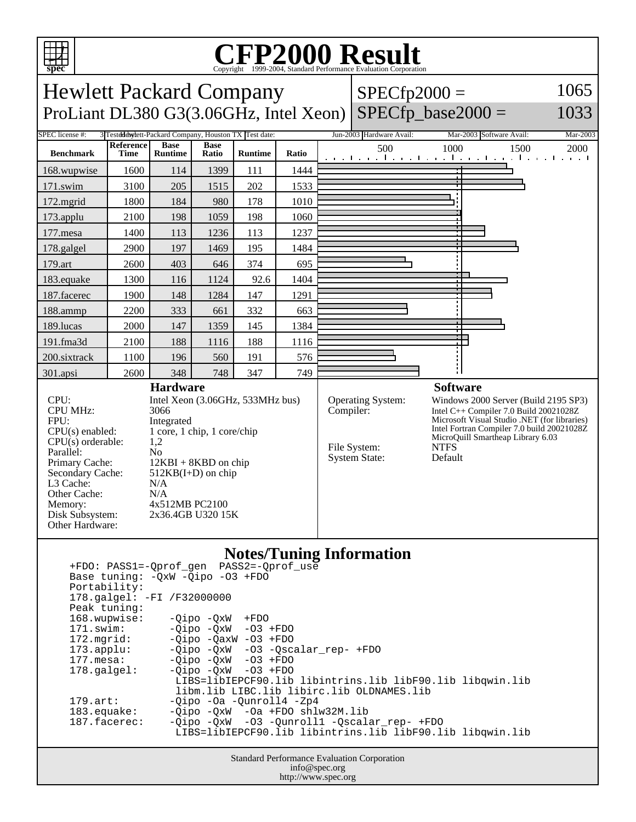

## Copyright ©1999-2004, Standard Performance Evaluation Corporation

Hewlett Packard Company ProLiant DL380 G3(3.06GHz, Intel Xeon)

3 Tested de west-Packard Company, Houston TV Test

 $SPECfp2000 =$  $SPECfp\_base2000 =$ 

### 1033

1065

| 11 DC 11001190 # . | $\mathcal{L}$ restation in a linear company, riodicing the prest date. |                               |                      |                |       | $30000$ provided in the state. | $1.14$ $2000$ pointman $1.1$ and $1.1$                                              |
|--------------------|------------------------------------------------------------------------|-------------------------------|----------------------|----------------|-------|--------------------------------|-------------------------------------------------------------------------------------|
| <b>Benchmark</b>   | <b>Reference</b><br>Time                                               | <b>Base</b><br><b>Runtime</b> | <b>Base</b><br>Ratio | <b>Runtime</b> | Ratio | 500                            | 1000<br>2000<br>1500<br>and the collection of a real contract of a real contract of |
| 168.wupwise        | 1600                                                                   | 114                           | 1399                 | 111            | 1444  |                                |                                                                                     |
| 171.swim           | 3100                                                                   | 205                           | 1515                 | 202            | 1533  |                                |                                                                                     |
| $172$ .mgrid       | 1800                                                                   | 184                           | 980                  | 178            | 1010  |                                |                                                                                     |
| $173$ .applu       | 2100                                                                   | 198                           | 1059                 | 198            | 1060  |                                |                                                                                     |
| $177$ .mesa        | 1400                                                                   | 113                           | 1236                 | 113            | 1237  |                                |                                                                                     |
| 178.galgel         | 2900                                                                   | 197                           | 1469                 | 195            | 1484  |                                |                                                                                     |
| 179.art            | 2600                                                                   | 403                           | 646                  | 374            | 695   |                                |                                                                                     |
| 183. equake        | 1300                                                                   | 116                           | 1124                 | 92.6           | 1404  |                                |                                                                                     |
| 187.facerec        | 1900                                                                   | 148                           | 1284                 | 147            | 1291  |                                |                                                                                     |
| 188.ammp           | 2200                                                                   | 333                           | 661                  | 332            | 663   |                                |                                                                                     |
| 189.lucas          | 2000                                                                   | 147                           | 1359                 | 145            | 1384  |                                |                                                                                     |
| 191.fma3d          | 2100                                                                   | 188                           | 1116                 | 188            | 1116  |                                |                                                                                     |
| 200.sixtrack       | 1100                                                                   | 196                           | 560                  | 191            | 576   |                                |                                                                                     |
| 301.apsi           | 2600                                                                   | 348                           | 748                  | 347            | 749   |                                |                                                                                     |
| <b>Hardware</b>    |                                                                        |                               |                      |                |       |                                | <b>Software</b>                                                                     |
| CPU:               | Intel Xeon (3.06GHz, 533MHz bus)                                       |                               |                      |                |       | <b>Operating System:</b>       | Windows 2000 Server (Build 2195 SP3)                                                |

CPU MHz: 3066<br>FPU: Integr  $CPU(s)$  orderable: Parallel: No<br>Primary Cache: 12F L3 Cache: N/A Other Cache: N/A Other Hardware:

Integrated  $CPU(s)$  enabled:  $1 core, 1 chip, 1 core/chip$ <br> $CPU(s)$  orderable:  $1.2$  $12KBI + 8KBD$  on chip Secondary Cache: 512KB(I+D) on chip Memory: 4x512MB PC2100 Disk Subsystem: 2x36.4GB U320 15K

### Operating System:<br>Compiler:

File System: NTFS<br>System State: Default System State:

Intel  $C++$  Compiler 7.0 Build 20021028Z Microsoft Visual Studio .NET (for libraries) Intel Fortran Compiler 7.0 build 20021028Z MicroQuill Smartheap Library 6.03

#### **Notes/Tuning Information**

 +FDO: PASS1=-Qprof\_gen PASS2=-Qprof\_use Base tuning: -QxW -Qipo -O3 +FDO Portability: 178.galgel: -FI /F32000000 Peak tuning: 168.wupwise: -Qipo -QxW +FDO 171.swim: - Qipo - QxW - O3 + FDO<br>172.mgrid: - Qipo - QaxW - O3 + FDO 172.mgrid: -Qipo -QaxW -O3 +FDO<br>173.applu: -Qipo -QxW -O3 -Qsc -Qipo -QxW -O3 -Qscalar\_rep- +FDO 177.mesa: - Qipo - QxW - O3 + FDO 178.galgel: - Qipo - QxW - 03 + FDO LIBS=libIEPCF90.lib libintrins.lib libF90.lib libqwin.lib libm.lib LIBC.lib libirc.lib OLDNAMES.lib<br>179.art: -0ipo -0a -0unroll4 -Zp4 179.art: -Qipo -Oa -Qunroll4 -Zp4<br>183.equake: -Qipo -QxW -Oa +FDO shl 183.equake: -Qipo -QxW -Oa +FDO shlw32M.lib 187.facerec: -Qipo -QxW -O3 -Qunroll1 -Qscalar\_rep- +FDO LIBS=libIEPCF90.lib libintrins.lib libF90.lib libqwin.lib

> Standard Performance Evaluation Corporation info@spec.org http://www.spec.org